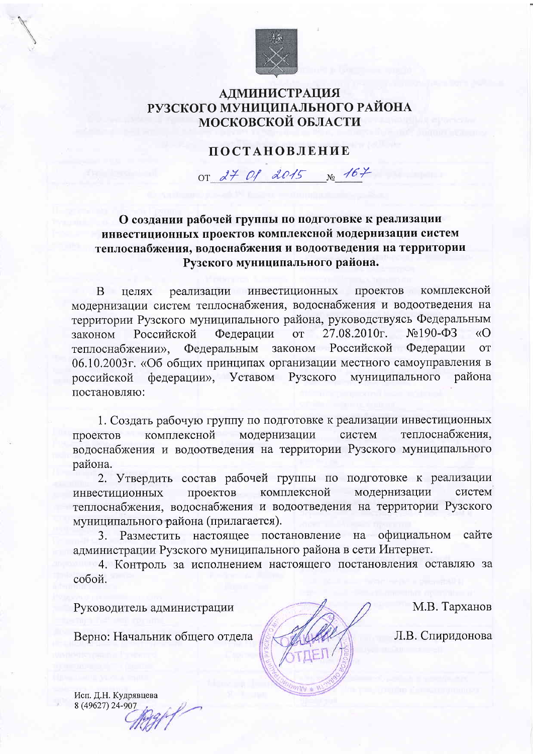

## **АДМИНИСТРАЦИЯ** РУЗСКОГО МУНИЦИПАЛЬНОГО РАЙОНА **МОСКОВСКОЙ ОБЛАСТИ**

## **ПОСТАНОВЛЕНИЕ**

or  $d7$  Of 2015  $_{N_{2}}$  167

О создании рабочей группы по подготовке к реализации инвестиционных проектов комплексной модернизации систем теплоснабжения, водоснабжения и водоотведения на территории Рузского муниципального района.

реализации инвестиционных проектов комплексной  $\overline{B}$ нелях модернизации систем теплоснабжения, водоснабжения и водоотведения на территории Рузского муниципального района, руководствуясь Федеральным  $N<sub>2</sub>190- $\Phi$ 3$ законом Российской Федерации  $OT$ 27.08.2010г.  $\overline{O}$ законом Российской Федерации Федеральным **OT** теплоснабжении». 06.10.2003г. «Об общих принципах организации местного самоуправления в федерации», Уставом Рузского муниципального российской района постановляю:

1. Создать рабочую группу по подготовке к реализации инвестиционных комплексной модернизации систем теплоснабжения, проектов водоснабжения и водоотведения на территории Рузского муниципального района.

2. Утвердить состав рабочей группы по подготовке к реализации проектов комплексной модернизации систем инвестиционных теплоснабжения, водоснабжения и водоотведения на территории Рузского муниципального района (прилагается).

3. Разместить настоящее постановление на официальном сайте администрации Рузского муниципального района в сети Интернет.

4. Контроль за исполнением настоящего постановления оставляю за собой.

Руководитель администрации

Верно: Начальник общего отдела

М.В. Тарханов

Л.В. Спиридонова

Исп. Д.Н. Кудрявцева 8 (49627) 24-907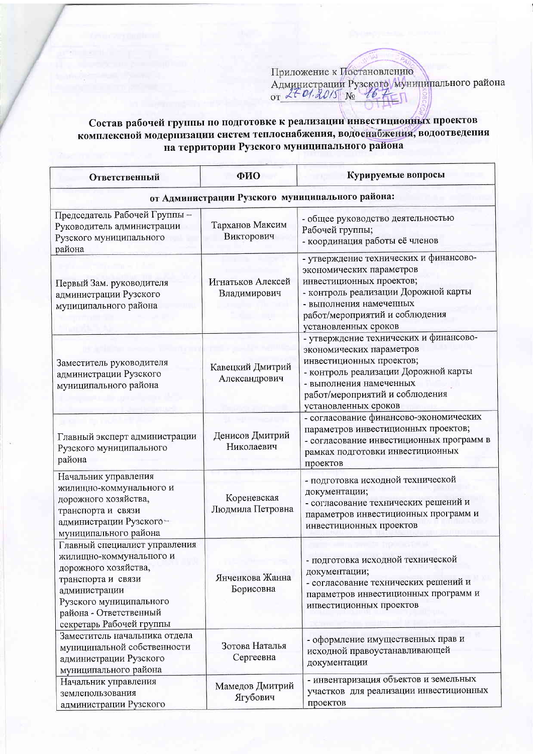## Состав рабочей группы по подготовке к реализации инвестиционных проектов комплексной модернизации систем теплоснабжения, водоснабжения, водоотведения на территории Рузского муниципального района

| Ответственный                                                                                                                                                                                            | ФИО                               | Курируемые вопросы                                                                                                                                                                                                          |  |
|----------------------------------------------------------------------------------------------------------------------------------------------------------------------------------------------------------|-----------------------------------|-----------------------------------------------------------------------------------------------------------------------------------------------------------------------------------------------------------------------------|--|
| от Администрации Рузского муниципального района:                                                                                                                                                         |                                   |                                                                                                                                                                                                                             |  |
| Председатель Рабочей Группы -<br>Руководитель администрации<br>Рузского муниципального<br>района                                                                                                         | Тарханов Максим<br>Викторович     | - общее руководство деятельностью<br>Рабочей группы;<br>- координация работы её членов                                                                                                                                      |  |
| Первый Зам. руководителя<br>администрации Рузского<br>муниципального района                                                                                                                              | Игнатьков Алексей<br>Владимирович | - утверждение технических и финансово-<br>экономических параметров<br>инвестиционных проектов;<br>- контроль реализации Дорожной карты<br>- выполнения намеченных<br>работ/мероприятий и соблюдения<br>установленных сроков |  |
| Заместитель руководителя<br>администрации Рузского<br>муниципального района                                                                                                                              | Кавецкий Дмитрий<br>Александрович | - утверждение технических и финансово-<br>экономических параметров<br>инвестиционных проектов;<br>- контроль реализации Дорожной карты<br>- выполнения намеченных<br>работ/мероприятий и соблюдения<br>установленных сроков |  |
| Главный эксперт администрации<br>Рузского муниципального<br>района                                                                                                                                       | Денисов Дмитрий<br>Николаевич     | - согласование финансово-экономических<br>параметров инвестиционных проектов;<br>- согласование инвестиционных программ в<br>рамках подготовки инвестиционных<br>проектов                                                   |  |
| Начальник управления<br>жилищно-коммунального и<br>дорожного хозяйства,<br>транспорта и связи<br>администрации Рузского<br>муниципального района                                                         | Кореневская<br>Людмила Петровна   | - подготовка исходной технической<br>документации;<br>- согласование технических решений и<br>параметров инвестиционных программ и<br>инвестиционных проектов                                                               |  |
| Главный специалист управления<br>жилищно-коммунального и<br>дорожного хозяйства,<br>транспорта и связи<br>администрации<br>Рузского муниципального<br>района - Ответственный<br>секретарь Рабочей группы | Янченкова Жанна<br>Борисовна      | - подготовка исходной технической<br>документации;<br>- согласование технических решений и<br>параметров инвестиционных программ и<br>инвестиционных проектов                                                               |  |
| Заместитель начальника отдела<br>муниципальной собственности<br>администрации Рузского<br>муниципального района                                                                                          | Зотова Наталья<br>Сергеевна       | - оформление имущественных прав и<br>исходной правоустанавливающей<br>документации                                                                                                                                          |  |
| Начальник управления<br>землепользования<br>администрации Рузского                                                                                                                                       | Мамедов Дмитрий<br>Ягубович       | - инвентаризация объектов и земельных<br>участков для реализации инвестиционных<br>проектов                                                                                                                                 |  |